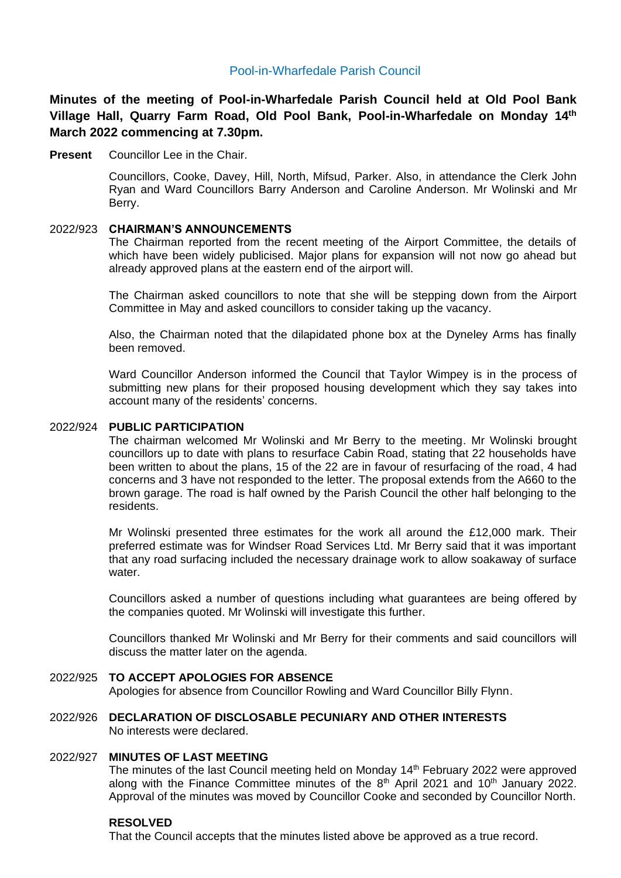# Pool-in-Wharfedale Parish Council

**Minutes of the meeting of Pool-in-Wharfedale Parish Council held at Old Pool Bank Village Hall, Quarry Farm Road, Old Pool Bank, Pool-in-Wharfedale on Monday 14th March 2022 commencing at 7.30pm.** 

**Present** Councillor Lee in the Chair.

Councillors, Cooke, Davey, Hill, North, Mifsud, Parker. Also, in attendance the Clerk John Ryan and Ward Councillors Barry Anderson and Caroline Anderson. Mr Wolinski and Mr Berry.

### 2022/923 **CHAIRMAN'S ANNOUNCEMENTS**

The Chairman reported from the recent meeting of the Airport Committee, the details of which have been widely publicised. Major plans for expansion will not now go ahead but already approved plans at the eastern end of the airport will.

The Chairman asked councillors to note that she will be stepping down from the Airport Committee in May and asked councillors to consider taking up the vacancy.

Also, the Chairman noted that the dilapidated phone box at the Dyneley Arms has finally been removed.

Ward Councillor Anderson informed the Council that Taylor Wimpey is in the process of submitting new plans for their proposed housing development which they say takes into account many of the residents' concerns.

#### 2022/924 **PUBLIC PARTICIPATION**

The chairman welcomed Mr Wolinski and Mr Berry to the meeting. Mr Wolinski brought councillors up to date with plans to resurface Cabin Road, stating that 22 households have been written to about the plans, 15 of the 22 are in favour of resurfacing of the road, 4 had concerns and 3 have not responded to the letter. The proposal extends from the A660 to the brown garage. The road is half owned by the Parish Council the other half belonging to the residents.

Mr Wolinski presented three estimates for the work all around the £12,000 mark. Their preferred estimate was for Windser Road Services Ltd. Mr Berry said that it was important that any road surfacing included the necessary drainage work to allow soakaway of surface water.

Councillors asked a number of questions including what guarantees are being offered by the companies quoted. Mr Wolinski will investigate this further.

Councillors thanked Mr Wolinski and Mr Berry for their comments and said councillors will discuss the matter later on the agenda.

#### 2022/925 **TO ACCEPT APOLOGIES FOR ABSENCE**

Apologies for absence from Councillor Rowling and Ward Councillor Billy Flynn.

### 2022/926 **DECLARATION OF DISCLOSABLE PECUNIARY AND OTHER INTERESTS** No interests were declared.

### 2022/927 **MINUTES OF LAST MEETING**

The minutes of the last Council meeting held on Monday 14<sup>th</sup> February 2022 were approved along with the Finance Committee minutes of the  $8<sup>th</sup>$  April 2021 and 10<sup>th</sup> January 2022. Approval of the minutes was moved by Councillor Cooke and seconded by Councillor North.

### **RESOLVED**

That the Council accepts that the minutes listed above be approved as a true record.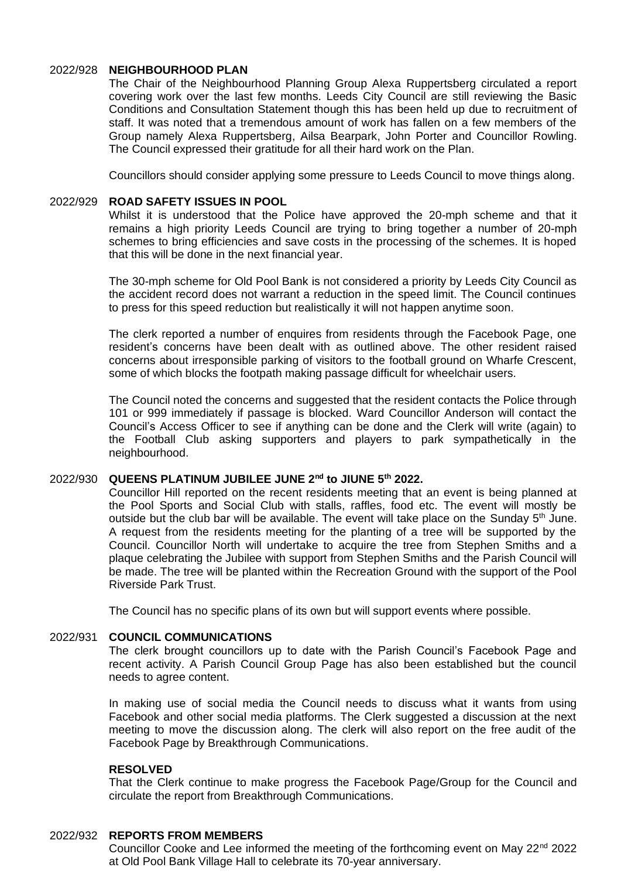## 2022/928 **NEIGHBOURHOOD PLAN**

The Chair of the Neighbourhood Planning Group Alexa Ruppertsberg circulated a report covering work over the last few months. Leeds City Council are still reviewing the Basic Conditions and Consultation Statement though this has been held up due to recruitment of staff. It was noted that a tremendous amount of work has fallen on a few members of the Group namely Alexa Ruppertsberg, Ailsa Bearpark, John Porter and Councillor Rowling. The Council expressed their gratitude for all their hard work on the Plan.

Councillors should consider applying some pressure to Leeds Council to move things along.

### 2022/929 **ROAD SAFETY ISSUES IN POOL**

Whilst it is understood that the Police have approved the 20-mph scheme and that it remains a high priority Leeds Council are trying to bring together a number of 20-mph schemes to bring efficiencies and save costs in the processing of the schemes. It is hoped that this will be done in the next financial year.

The 30-mph scheme for Old Pool Bank is not considered a priority by Leeds City Council as the accident record does not warrant a reduction in the speed limit. The Council continues to press for this speed reduction but realistically it will not happen anytime soon.

The clerk reported a number of enquires from residents through the Facebook Page, one resident's concerns have been dealt with as outlined above. The other resident raised concerns about irresponsible parking of visitors to the football ground on Wharfe Crescent, some of which blocks the footpath making passage difficult for wheelchair users.

The Council noted the concerns and suggested that the resident contacts the Police through 101 or 999 immediately if passage is blocked. Ward Councillor Anderson will contact the Council's Access Officer to see if anything can be done and the Clerk will write (again) to the Football Club asking supporters and players to park sympathetically in the neighbourhood.

# 2022/930 **QUEENS PLATINUM JUBILEE JUNE 2nd to JIUNE 5th 2022.**

Councillor Hill reported on the recent residents meeting that an event is being planned at the Pool Sports and Social Club with stalls, raffles, food etc. The event will mostly be outside but the club bar will be available. The event will take place on the Sunday  $5<sup>th</sup>$  June. A request from the residents meeting for the planting of a tree will be supported by the Council. Councillor North will undertake to acquire the tree from Stephen Smiths and a plaque celebrating the Jubilee with support from Stephen Smiths and the Parish Council will be made. The tree will be planted within the Recreation Ground with the support of the Pool Riverside Park Trust.

The Council has no specific plans of its own but will support events where possible.

#### 2022/931 **COUNCIL COMMUNICATIONS**

The clerk brought councillors up to date with the Parish Council's Facebook Page and recent activity. A Parish Council Group Page has also been established but the council needs to agree content.

In making use of social media the Council needs to discuss what it wants from using Facebook and other social media platforms. The Clerk suggested a discussion at the next meeting to move the discussion along. The clerk will also report on the free audit of the Facebook Page by Breakthrough Communications.

#### **RESOLVED**

That the Clerk continue to make progress the Facebook Page/Group for the Council and circulate the report from Breakthrough Communications.

#### 2022/932 **REPORTS FROM MEMBERS**

Councillor Cooke and Lee informed the meeting of the forthcoming event on May  $22<sup>nd</sup> 2022$ at Old Pool Bank Village Hall to celebrate its 70-year anniversary.